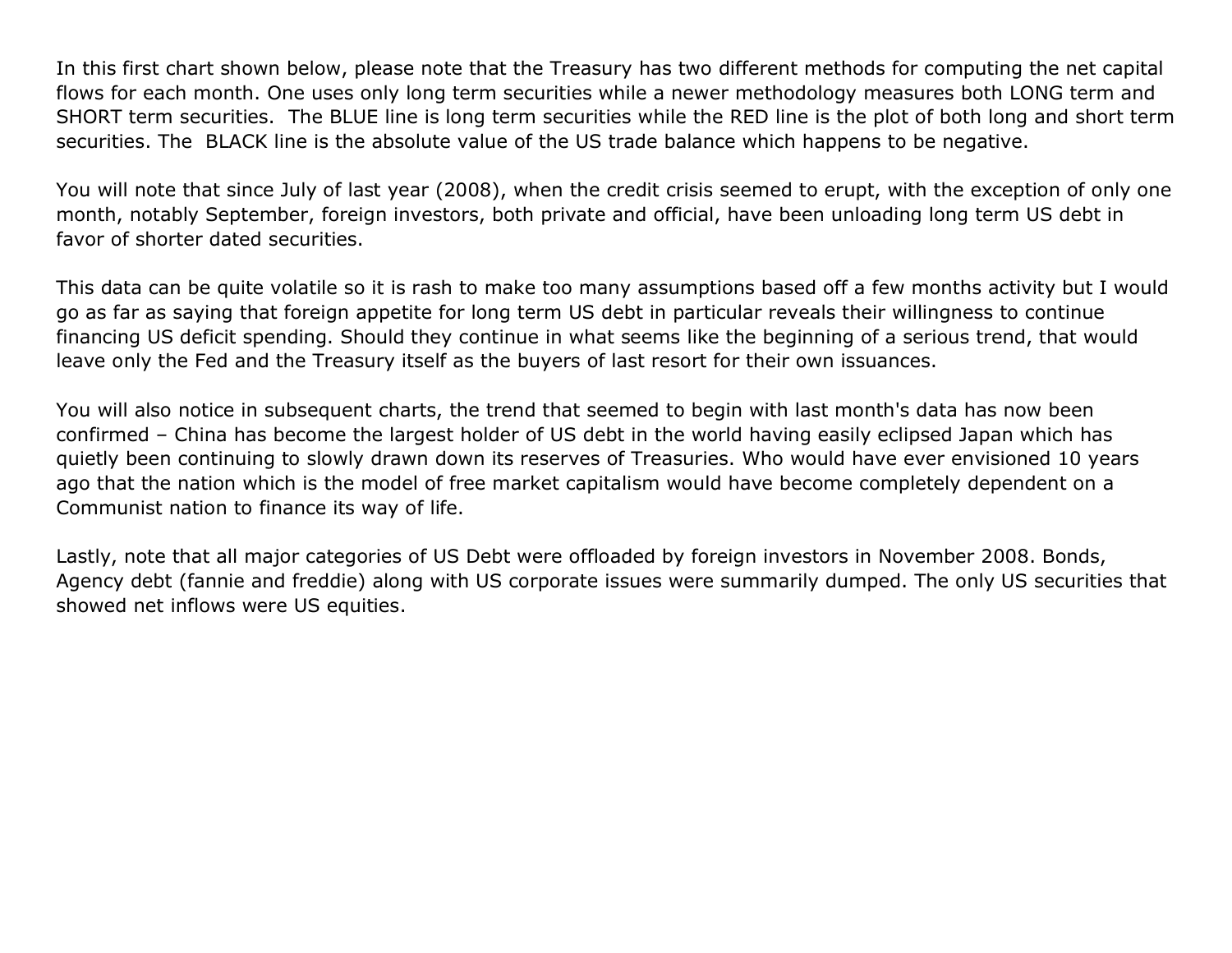In this first chart shown below, please note that the Treasury has two different methods for computing the net capital flows for each month. One uses only long term securities while a newer methodology measures both LONG term and SHORT term securities. The BLUE line is long term securities while the RED line is the plot of both long and short term securities. The BLACK line is the absolute value of the US trade balance which happens to be negative.

You will note that since July of last year (2008), when the credit crisis seemed to erupt, with the exception of only one month, notably September, foreign investors, both private and official, have been unloading long term US debt in favor of shorter dated securities.

This data can be quite volatile so it is rash to make too many assumptions based off a few months activity but I would go as far as saying that foreign appetite for long term US debt in particular reveals their willingness to continue financing US deficit spending. Should they continue in what seems like the beginning of a serious trend, that would leave only the Fed and the Treasury itself as the buyers of last resort for their own issuances.

You will also notice in subsequent charts, the trend that seemed to begin with last month's data has now been confirmed – China has become the largest holder of US debt in the world having easily eclipsed Japan which has quietly been continuing to slowly drawn down its reserves of Treasuries. Who would have ever envisioned 10 years ago that the nation which is the model of free market capitalism would have become completely dependent on a Communist nation to finance its way of life.

Lastly, note that all major categories of US Debt were offloaded by foreign investors in November 2008. Bonds, Agency debt (fannie and freddie) along with US corporate issues were summarily dumped. The only US securities that showed net inflows were US equities.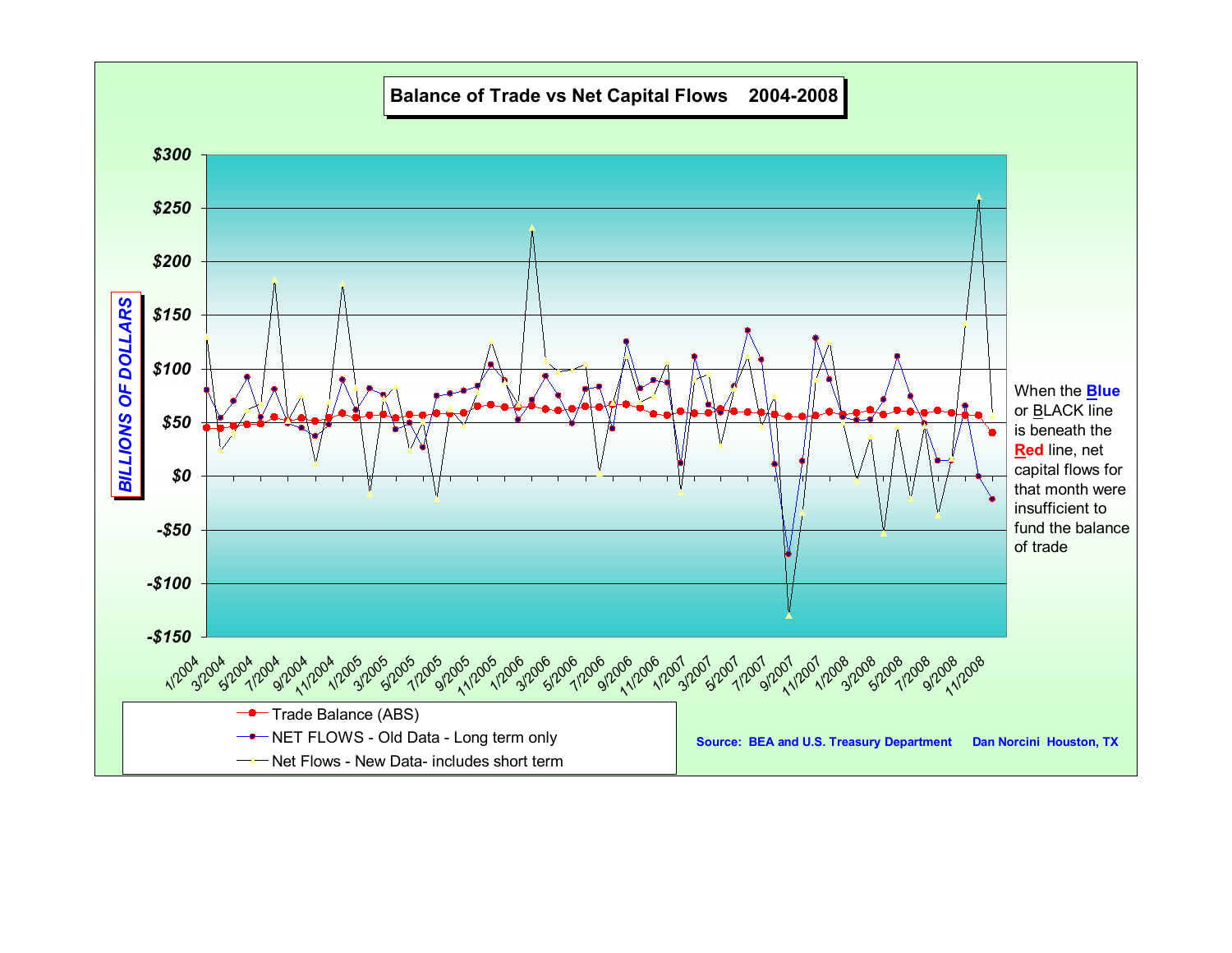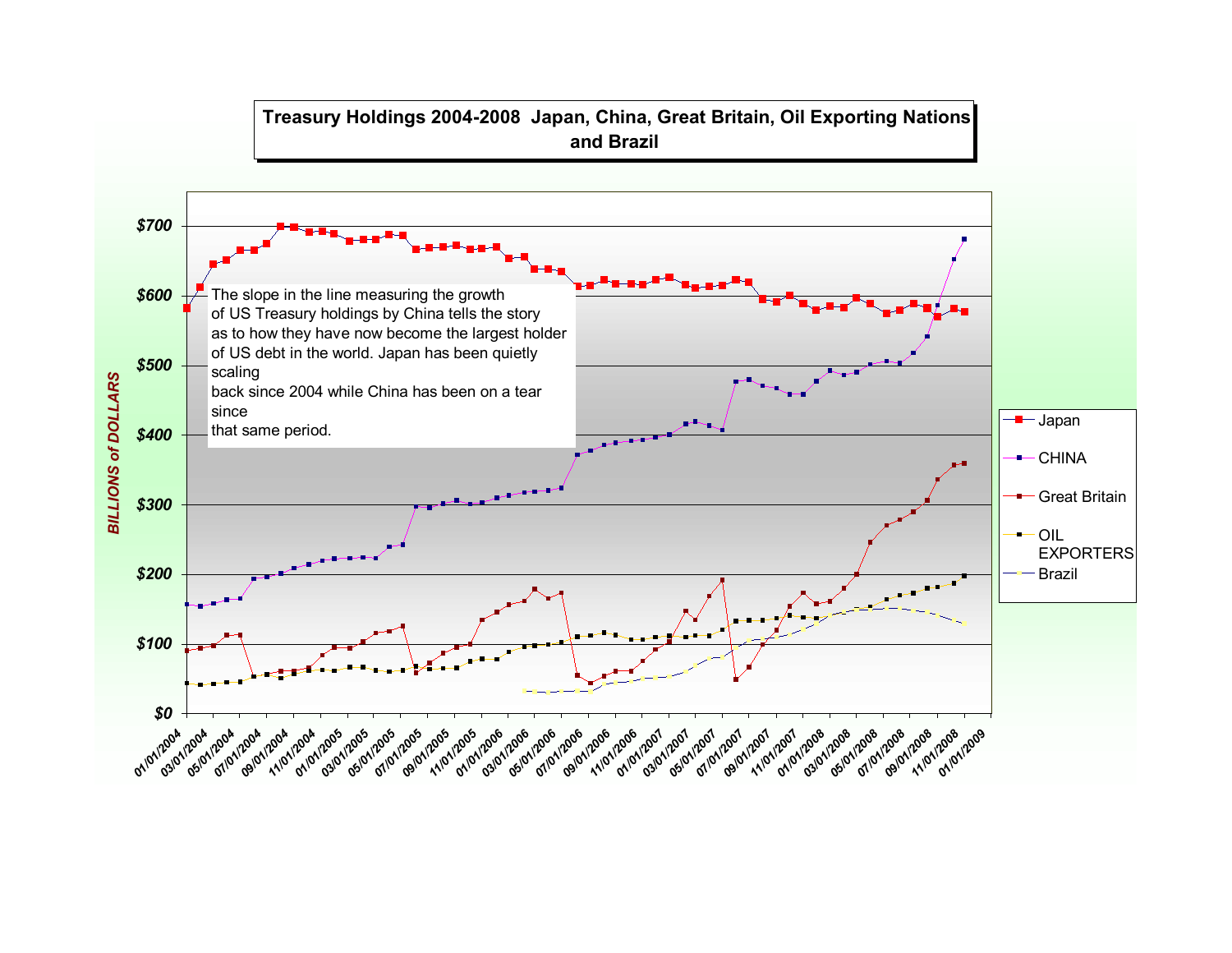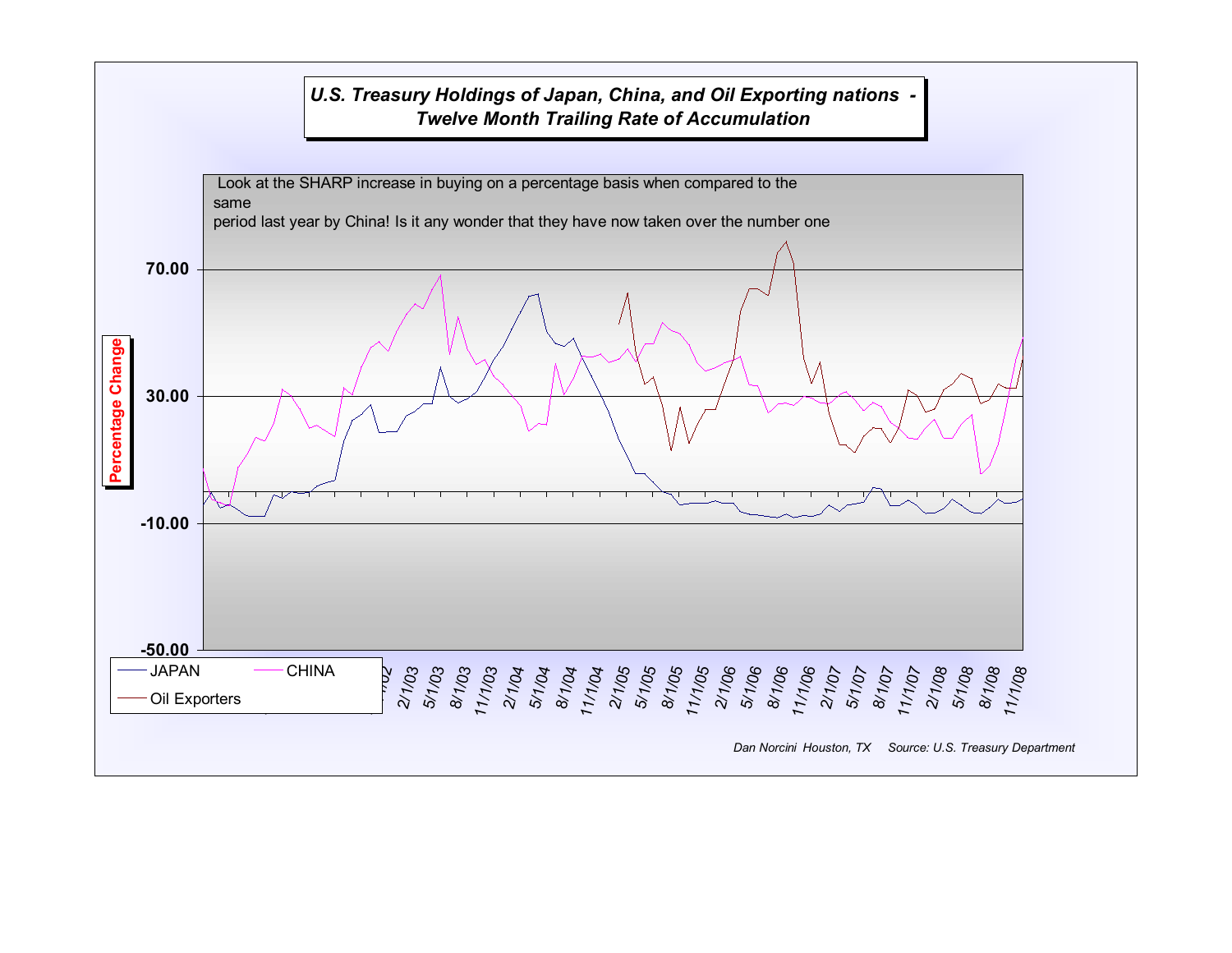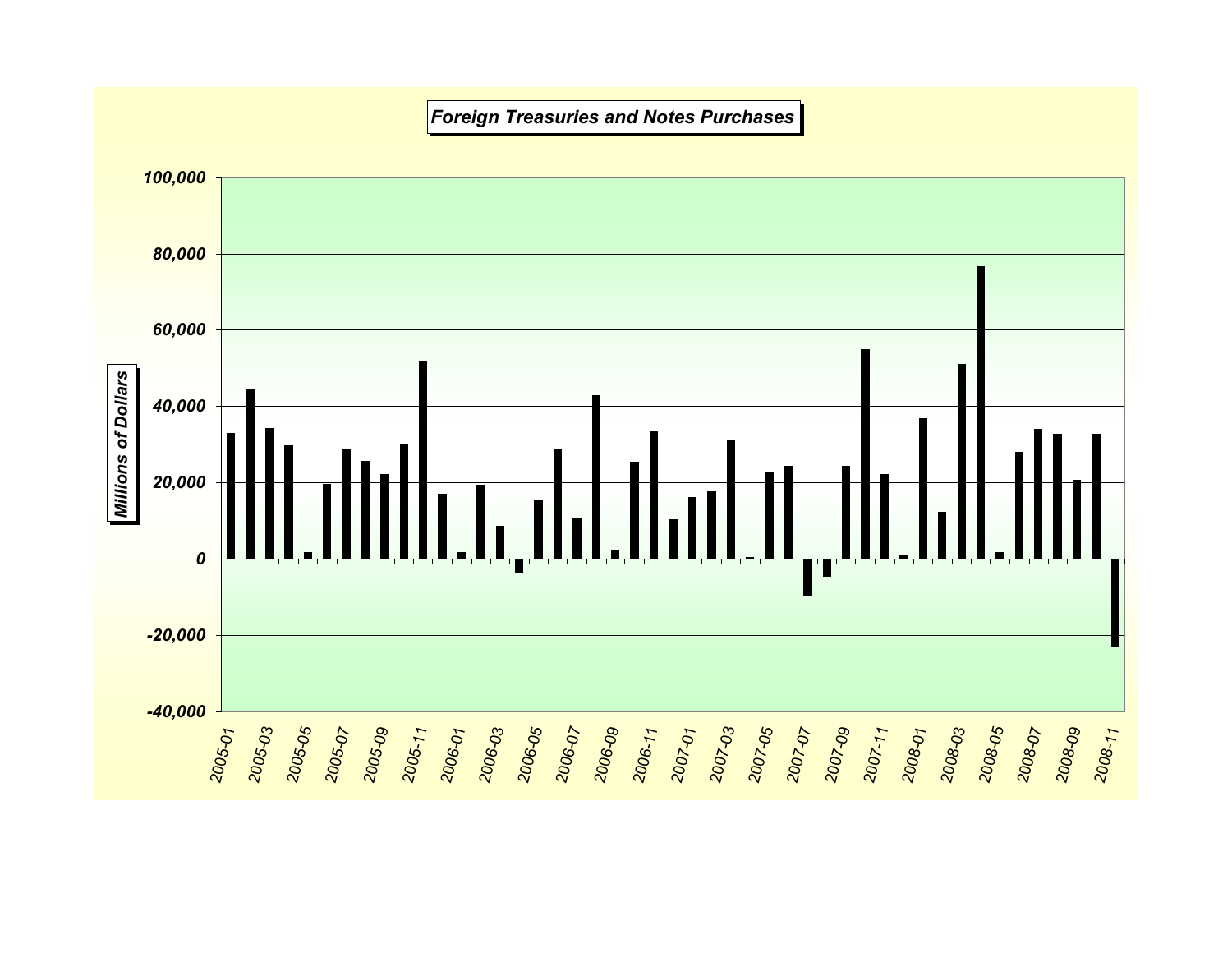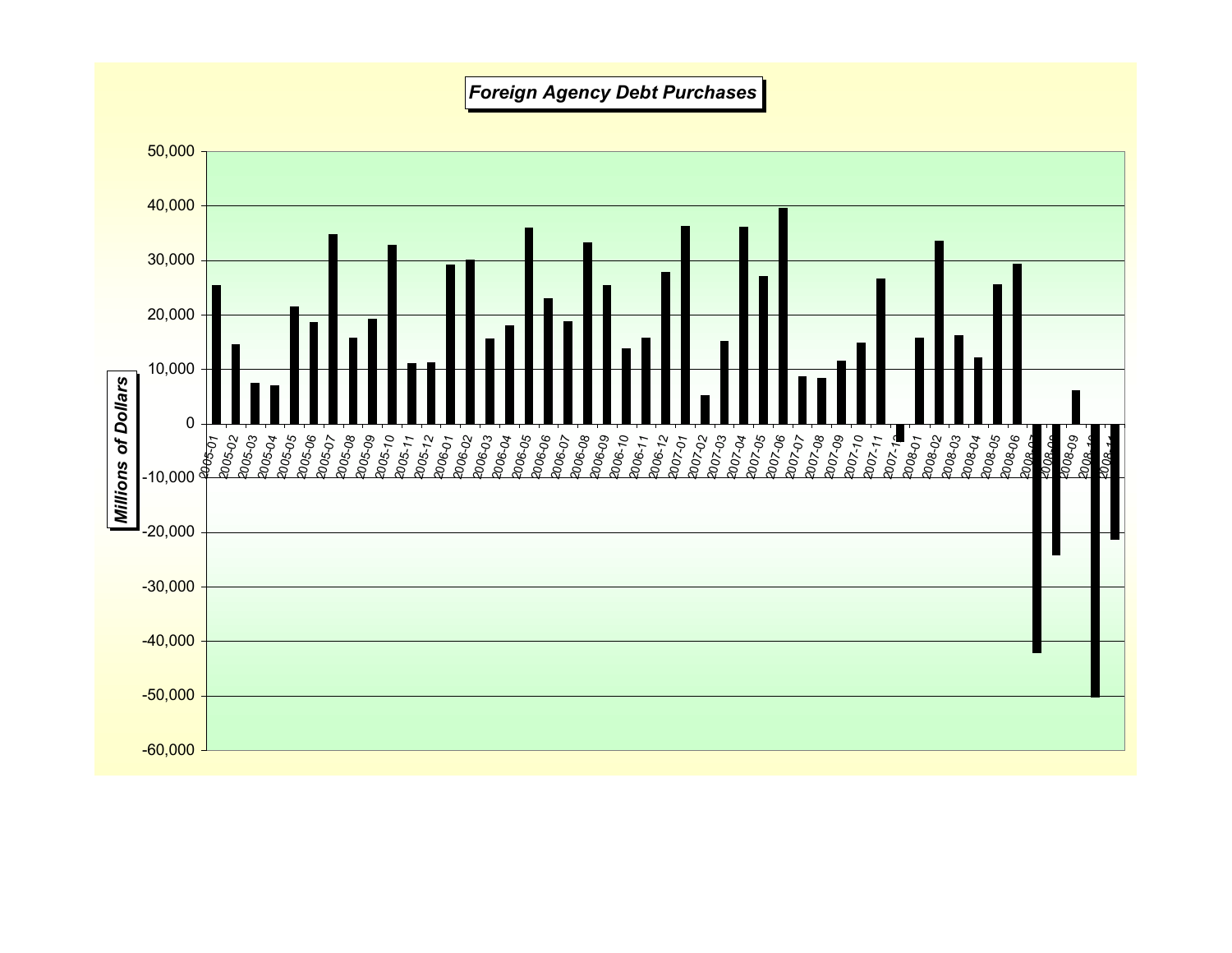## *Foreign Agency Debt Purchases*

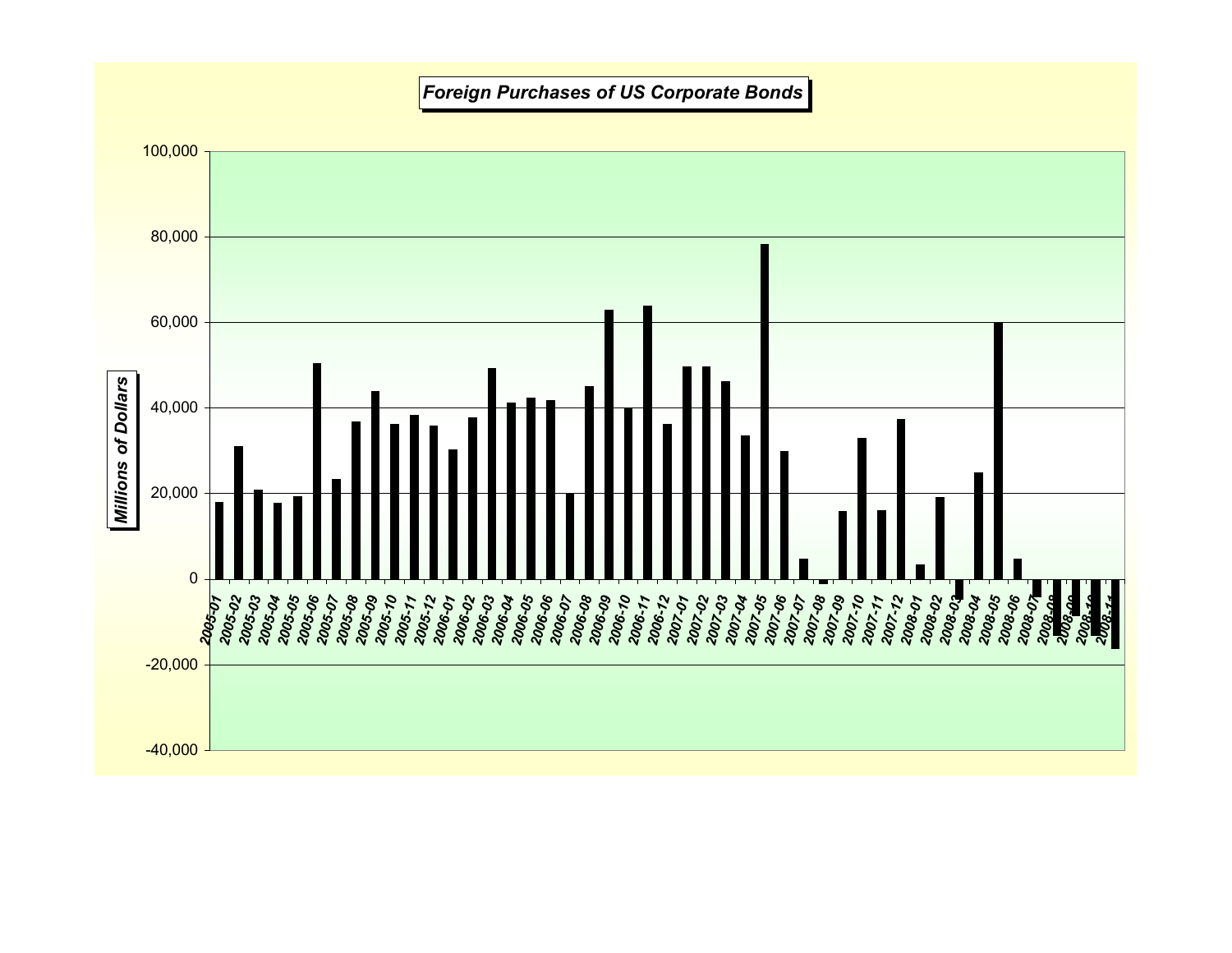## *Foreign Purchases of US Corporate Bonds*